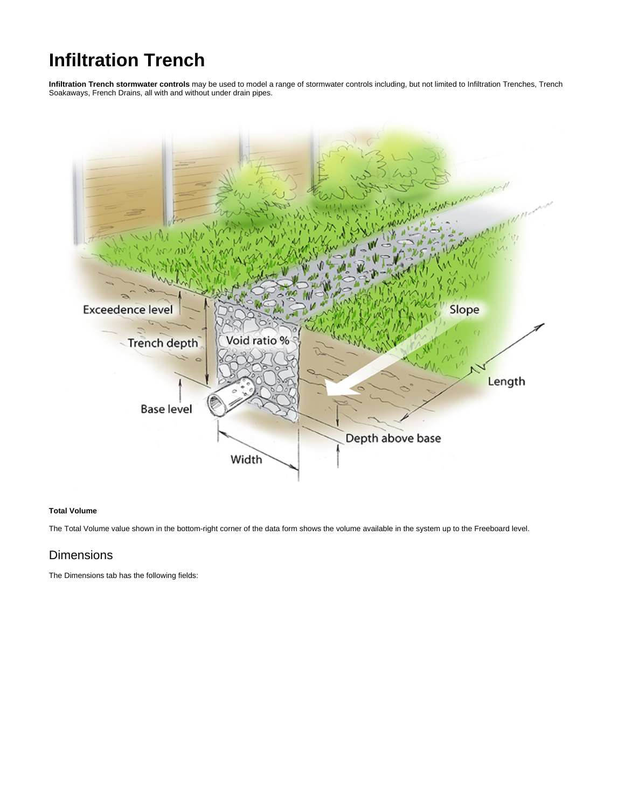# **Infiltration Trench**

**Infiltration Trench stormwater controls** may be used to model a range of stormwater controls including, but not limited to Infiltration Trenches, Trench Soakaways, French Drains, all with and without under drain pipes.



#### **Total Volume**

The Total Volume value shown in the bottom-right corner of the data form shows the volume available in the system up to the Freeboard level.

# **Dimensions**

The Dimensions tab has the following fields: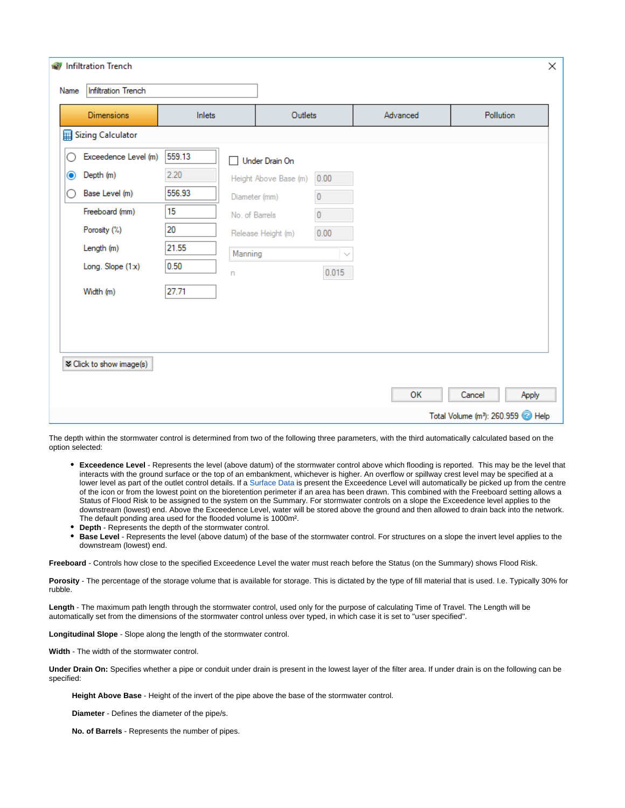|           | <b>M</b> Infiltration Trench |        |                |                       |           |          |                                                           | ×     |
|-----------|------------------------------|--------|----------------|-----------------------|-----------|----------|-----------------------------------------------------------|-------|
| Name      | <b>Infiltration Trench</b>   |        |                |                       |           |          |                                                           |       |
|           | <b>Dimensions</b>            | Inlets |                | Outlets               |           | Advanced | Pollution                                                 |       |
|           | Sizing Calculator            |        |                |                       |           |          |                                                           |       |
|           | Exceedence Level (m)         | 559.13 | Ш              | Under Drain On        |           |          |                                                           |       |
| $\bullet$ | Depth (m)                    | 2.20   |                | Height Above Base (m) | 0.00      |          |                                                           |       |
|           | Base Level (m)               | 556.93 | Diameter (mm)  |                       | $\bf{0}$  |          |                                                           |       |
|           | Freeboard (mm)               | 15     | No. of Barrels |                       | $\pmb{0}$ |          |                                                           |       |
|           | Porosity (%)                 | 20     |                | Release Height (m)    | 0.00      |          |                                                           |       |
|           | Length (m)                   | 21.55  | Manning        |                       | $\sim$    |          |                                                           |       |
|           | Long. Slope (1x)             | 0.50   | n              |                       | 0.015     |          |                                                           |       |
|           | Width (m)                    | 27.71  |                |                       |           |          |                                                           |       |
|           |                              |        |                |                       |           |          |                                                           |       |
|           |                              |        |                |                       |           |          |                                                           |       |
|           |                              |        |                |                       |           |          |                                                           |       |
|           | ₹ Click to show image(s)     |        |                |                       |           |          |                                                           |       |
|           |                              |        |                |                       |           | OK       | Cancel                                                    | Apply |
|           |                              |        |                |                       |           |          | Total Volume (m <sup>3</sup> ): 260.959 <sup>2</sup> Help |       |

The depth within the stormwater control is determined from two of the following three parameters, with the third automatically calculated based on the option selected:

- **Exceedence Level** Represents the level (above datum) of the stormwater control above which flooding is reported. This may be the level that interacts with the ground surface or the top of an embankment, whichever is higher. An overflow or spillway crest level may be specified at a lower level as part of the outlet control details. If a [Surface Data](https://help.innovyze.com/display/infodrainage2021v1/Surface+Data) is present the Exceedence Level will automatically be picked up from the centre of the icon or from the lowest point on the bioretention perimeter if an area has been drawn. This combined with the Freeboard setting allows a Status of Flood Risk to be assigned to the system on the Summary. For stormwater controls on a slope the Exceedence level applies to the downstream (lowest) end. Above the Exceedence Level, water will be stored above the ground and then allowed to drain back into the network. The default ponding area used for the flooded volume is 1000m².
- **Depth** Represents the depth of the stormwater control.
- **Base Level** Represents the level (above datum) of the base of the stormwater control. For structures on a slope the invert level applies to the downstream (lowest) end.

**Freeboard** - Controls how close to the specified Exceedence Level the water must reach before the Status (on the Summary) shows Flood Risk.

Porosity - The percentage of the storage volume that is available for storage. This is dictated by the type of fill material that is used. I.e. Typically 30% for rubble.

**Length** - The maximum path length through the stormwater control, used only for the purpose of calculating Time of Travel. The Length will be automatically set from the dimensions of the stormwater control unless over typed, in which case it is set to "user specified".

**Longitudinal Slope** - Slope along the length of the stormwater control.

**Width** - The width of the stormwater control.

**Under Drain On:** Specifies whether a pipe or conduit under drain is present in the lowest layer of the filter area. If under drain is on the following can be specified:

**Height Above Base** - Height of the invert of the pipe above the base of the stormwater control.

**Diameter** - Defines the diameter of the pipe/s.

**No. of Barrels** - Represents the number of pipes.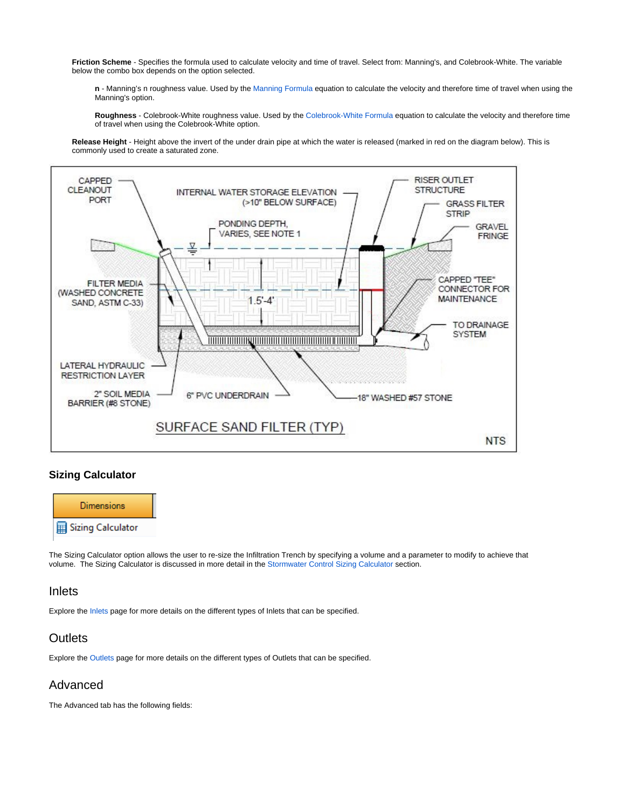**Friction Scheme** - Specifies the formula used to calculate velocity and time of travel. Select from: Manning's, and Colebrook-White. The variable below the combo box depends on the option selected.

**n** - Manning's n roughness value. Used by the [Manning Formula](https://help.innovyze.com/display/infodrainage2021v1/Manning+Formula) equation to calculate the velocity and therefore time of travel when using the Manning's option.

**Roughness** - Colebrook-White roughness value. Used by the [Colebrook-White Formula](https://help.innovyze.com/display/infodrainage2021v1/Colebrook-White+Formula) equation to calculate the velocity and therefore time of travel when using the Colebrook-White option.

**Release Height** - Height above the invert of the under drain pipe at which the water is released (marked in red on the diagram below). This is commonly used to create a saturated zone.



#### **Sizing Calculator**



The Sizing Calculator option allows the user to re-size the Infiltration Trench by specifying a volume and a parameter to modify to achieve that volume. The Sizing Calculator is discussed in more detail in the [Stormwater Control Sizing Calculator](https://help.innovyze.com/display/infodrainage2021v1/Stormwater+Control+Sizing+Calculator) section.

### Inlets

Explore the [Inlets](https://help.innovyze.com/display/infodrainage2021v1/Inlets) page for more details on the different types of Inlets that can be specified.

# **Outlets**

Explore the [Outlets](https://help.innovyze.com/display/infodrainage2021v1/Outlets) page for more details on the different types of Outlets that can be specified.

# Advanced

The Advanced tab has the following fields: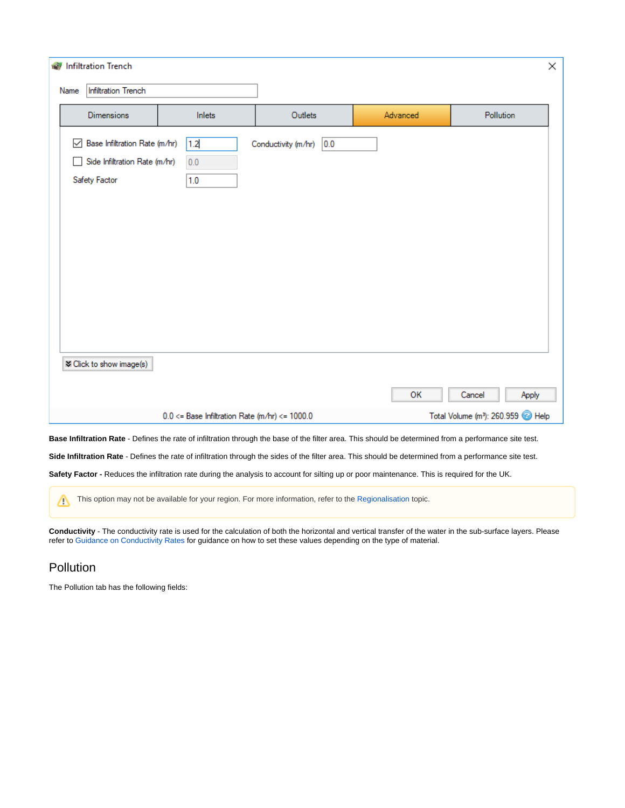| <b>M</b> Infiltration Trench |                                    |                                                                |                                                        |                            |                                                           |                 |  |  |
|------------------------------|------------------------------------|----------------------------------------------------------------|--------------------------------------------------------|----------------------------|-----------------------------------------------------------|-----------------|--|--|
|                              | <b>Infiltration Trench</b><br>Name |                                                                |                                                        |                            |                                                           |                 |  |  |
|                              |                                    | <b>Dimensions</b>                                              | Inlets                                                 | Outlets                    | Advanced                                                  | Pollution       |  |  |
|                              |                                    | Base Infiltration Rate (m/hr)<br>Side Infiltration Rate (m/hr) | 1.2<br>$0.0\,$                                         | 0.0<br>Conductivity (m/hr) |                                                           |                 |  |  |
|                              |                                    | Safety Factor                                                  | 1.0                                                    |                            |                                                           |                 |  |  |
|                              |                                    |                                                                |                                                        |                            |                                                           |                 |  |  |
|                              |                                    |                                                                |                                                        |                            |                                                           |                 |  |  |
|                              |                                    |                                                                |                                                        |                            |                                                           |                 |  |  |
|                              |                                    |                                                                |                                                        |                            |                                                           |                 |  |  |
|                              |                                    |                                                                |                                                        |                            |                                                           |                 |  |  |
|                              |                                    | ₹ Click to show image(s)                                       |                                                        |                            |                                                           |                 |  |  |
|                              |                                    |                                                                |                                                        |                            | OK                                                        | Cancel<br>Apply |  |  |
|                              |                                    |                                                                | $0.0 \leq$ Base Infiltration Rate (m/hr) $\leq$ 1000.0 |                            | Total Volume (m <sup>3</sup> ): 260.959 <sup>2</sup> Help |                 |  |  |

**Base Infiltration Rate** - Defines the rate of infiltration through the base of the filter area. This should be determined from a performance site test.

**Side Infiltration Rate** - Defines the rate of infiltration through the sides of the filter area. This should be determined from a performance site test.

**Safety Factor -** Reduces the infiltration rate during the analysis to account for silting up or poor maintenance. This is required for the UK.

This option may not be available for your region. For more information, refer to the [Regionalisation](https://help.innovyze.com/display/infodrainage2021v1/Regionalisation) topic.

**Conductivity** - The conductivity rate is used for the calculation of both the horizontal and vertical transfer of the water in the sub-surface layers. Please refer to [Guidance on Conductivity Rates](https://help.innovyze.com/display/infodrainage2021v1/Guidance+on+Conductivity+Rates) for guidance on how to set these values depending on the type of material.

# Pollution

Δ

The Pollution tab has the following fields: